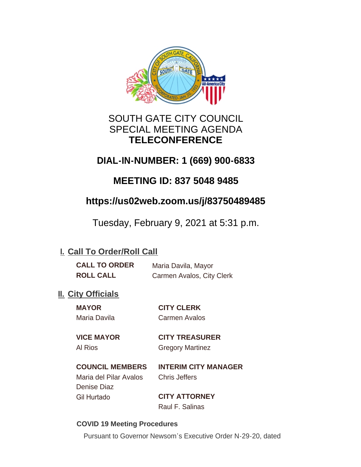

# SOUTH GATE CITY COUNCIL SPECIAL MEETING AGENDA **TELECONFERENCE**

# **DIAL-IN-NUMBER: 1 (669) 900-6833**

# **MEETING ID: 837 5048 9485**

# **https://us02web.zoom.us/j/83750489485**

Tuesday, February 9, 2021 at 5:31 p.m.

# **I. Call To Order/Roll Call**

| <b>CALL TO ORDER</b> | Maria Davila, Mayor       |
|----------------------|---------------------------|
| <b>ROLL CALL</b>     | Carmen Avalos, City Clerk |

# **II.** City Officials

**MAYOR CITY CLERK** Maria Davila Carmen Avalos

**VICE MAYOR CITY TREASURER**

# Al Rios Gregory Martinez

**COUNCIL MEMBERS INTERIM CITY MANAGER**

Maria del Pilar Avalos Chris Jeffers Denise Diaz Gil Hurtado **CITY ATTORNEY**

Raul F. Salinas

## **COVID 19 Meeting Procedures**

Pursuant to Governor Newsom's Executive Order N-29-20, dated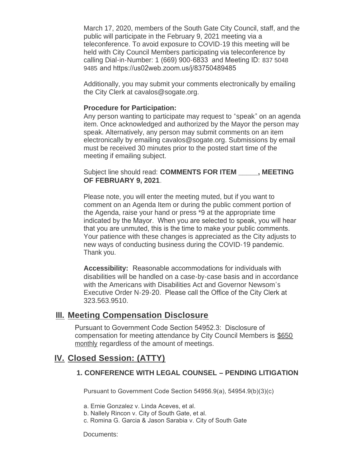March 17, 2020, members of the South Gate City Council, staff, and the public will participate in the February 9, 2021 meeting via a teleconference. To avoid exposure to COVID-19 this meeting will be held with City Council Members participating via teleconference by calling Dial-in-Number: 1 (669) 900-6833 and Meeting ID: 837 5048 9485 and https://us02web.zoom.us/j/83750489485

Additionally, you may submit your comments electronically by emailing the City Clerk at cavalos@sogate.org.

#### **Procedure for Participation:**

Any person wanting to participate may request to "speak" on an agenda item. Once acknowledged and authorized by the Mayor the person may speak. Alternatively, any person may submit comments on an item electronically by emailing cavalos@sogate.org. Submissions by email must be received 30 minutes prior to the posted start time of the meeting if emailing subject.

Subject line should read: **COMMENTS FOR ITEM \_\_\_\_\_, MEETING OF FEBRUARY 9, 2021**.

Please note, you will enter the meeting muted, but if you want to comment on an Agenda Item or during the public comment portion of the Agenda, raise your hand or press \*9 at the appropriate time indicated by the Mayor. When you are selected to speak, you will hear that you are unmuted, this is the time to make your public comments. Your patience with these changes is appreciated as the City adjusts to new ways of conducting business during the COVID-19 pandemic. Thank you.

**Accessibility:** Reasonable accommodations for individuals with disabilities will be handled on a case-by-case basis and in accordance with the Americans with Disabilities Act and Governor Newsom's Executive Order N-29-20. Please call the Office of the City Clerk at 323.563.9510.

## **Meeting Compensation Disclosure III.**

Pursuant to Government Code Section 54952.3: Disclosure of compensation for meeting attendance by City Council Members is \$650 monthly regardless of the amount of meetings.

## **Closed Session: (ATTY) IV.**

### **1. CONFERENCE WITH LEGAL COUNSEL – PENDING LITIGATION**

Pursuant to Government Code Section 54956.9(a), 54954.9(b)(3)(c)

a. Ernie Gonzalez v. Linda Aceves, et al.

- b. Nallely Rincon v. City of South Gate, et al.
- c. Romina G. Garcia & Jason Sarabia v. City of South Gate

Documents: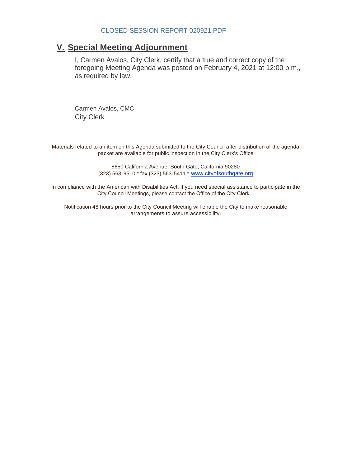## **Special Meeting Adjournment V.**

I, Carmen Avalos, City Clerk, certify that a true and correct copy of the foregoing Meeting Agenda was posted on February 4, 2021 at 12:00 p.m., as required by law.

Carmen Avalos, CMC City Clerk

Materials related to an item on this Agenda submitted to the City Council after distribution of the agenda packet are available for public inspection in the City Clerk's Office

> 8650 California Avenue, South Gate, California 90280 (323) 563-9510 \* fax (323) 563-5411 \* [www.cityofsouthgate.org](http://www.cityofsouthgate.org/)

In compliance with the American with Disabilities Act, if you need special assistance to participate in the City Council Meetings, please contact the Office of the City Clerk.

Notification 48 hours prior to the City Council Meeting will enable the City to make reasonable arrangements to assure accessibility.